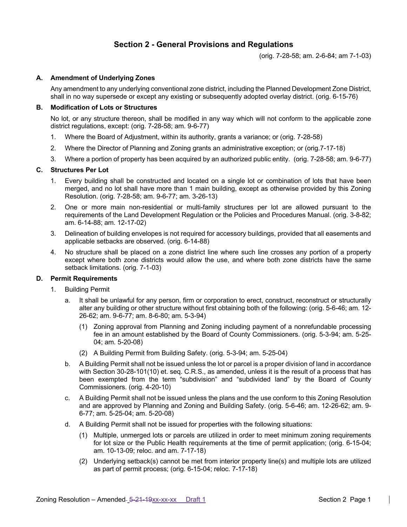# **Section 2 - General Provisions and Regulations**

(orig. 7-28-58; am. 2-6-84; am 7-1-03)

## **A. Amendment of Underlying Zones**

Any amendment to any underlying conventional zone district, including the Planned Development Zone District, shall in no way supersede or except any existing or subsequently adopted overlay district. (orig. 6-15-76)

#### **B. Modification of Lots or Structures**

No lot, or any structure thereon, shall be modified in any way which will not conform to the applicable zone district regulations, except: (orig. 7-28-58; am. 9-6-77)

- 1. Where the Board of Adjustment, within its authority, grants a variance; or (orig. 7-28-58)
- 2. Where the Director of Planning and Zoning grants an administrative exception; or (orig.7-17-18)
- 3. Where a portion of property has been acquired by an authorized public entity. (orig. 7-28-58; am. 9-6-77)

#### **C. Structures Per Lot**

- 1. Every building shall be constructed and located on a single lot or combination of lots that have been merged, and no lot shall have more than 1 main building, except as otherwise provided by this Zoning Resolution. (orig. 7-28-58; am. 9-6-77; am. 3-26-13)
- 2. One or more main non-residential or multi-family structures per lot are allowed pursuant to the requirements of the Land Development Regulation or the Policies and Procedures Manual. (orig. 3-8-82; am. 6-14-88; am. 12-17-02)
- 3. Delineation of building envelopes is not required for accessory buildings, provided that all easements and applicable setbacks are observed. (orig. 6-14-88)
- 4. No structure shall be placed on a zone district line where such line crosses any portion of a property except where both zone districts would allow the use, and where both zone districts have the same setback limitations. (orig. 7-1-03)

## **D. Permit Requirements**

- 1. Building Permit
	- a. It shall be unlawful for any person, firm or corporation to erect, construct, reconstruct or structurally alter any building or other structure without first obtaining both of the following: (orig. 5-6-46; am. 12- 26-62; am. 9-6-77; am. 8-6-80; am. 5-3-94)
		- (1) Zoning approval from Planning and Zoning including payment of a nonrefundable processing fee in an amount established by the Board of County Commissioners. (orig. 5-3-94; am. 5-25- 04; am. 5-20-08)
		- (2) A Building Permit from Building Safety. (orig. 5-3-94; am. 5-25-04)
	- b. A Building Permit shall not be issued unless the lot or parcel is a proper division of land in accordance with Section 30-28-101(10) et. seq. C.R.S., as amended, unless it is the result of a process that has been exempted from the term "subdivision" and "subdivided land" by the Board of County Commissioners. (orig. 4-20-10)
	- c. A Building Permit shall not be issued unless the plans and the use conform to this Zoning Resolution and are approved by Planning and Zoning and Building Safety. (orig. 5-6-46; am. 12-26-62; am. 9- 6-77; am. 5-25-04; am. 5-20-08)
	- d. A Building Permit shall not be issued for properties with the following situations:
		- (1) Multiple, unmerged lots or parcels are utilized in order to meet minimum zoning requirements for lot size or the Public Health requirements at the time of permit application; (orig. 6-15-04; am. 10-13-09; reloc. and am. 7-17-18)
		- (2) Underlying setback(s) cannot be met from interior property line(s) and multiple lots are utilized as part of permit process; (orig. 6-15-04; reloc. 7-17-18)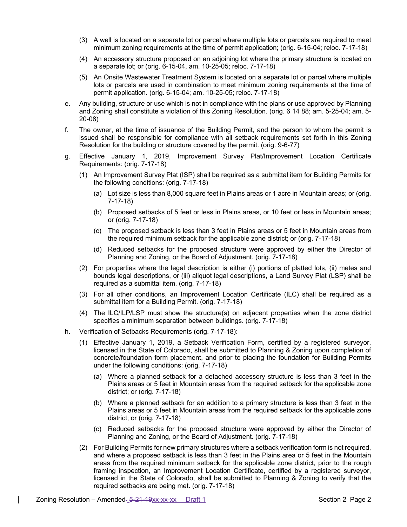- (3) A well is located on a separate lot or parcel where multiple lots or parcels are required to meet minimum zoning requirements at the time of permit application; (orig. 6-15-04; reloc. 7-17-18)
- (4) An accessory structure proposed on an adjoining lot where the primary structure is located on a separate lot; or (orig. 6-15-04, am. 10-25-05; reloc. 7-17-18)
- (5) An Onsite Wastewater Treatment System is located on a separate lot or parcel where multiple lots or parcels are used in combination to meet minimum zoning requirements at the time of permit application. (orig. 6-15-04; am. 10-25-05; reloc. 7-17-18)
- e. Any building, structure or use which is not in compliance with the plans or use approved by Planning and Zoning shall constitute a violation of this Zoning Resolution. (orig. 6 14 88; am. 5-25-04; am. 5- 20-08)
- f. The owner, at the time of issuance of the Building Permit, and the person to whom the permit is issued shall be responsible for compliance with all setback requirements set forth in this Zoning Resolution for the building or structure covered by the permit. (orig. 9-6-77)
- g. Effective January 1, 2019, Improvement Survey Plat/Improvement Location Certificate Requirements: (orig. 7-17-18)
	- (1) An Improvement Survey Plat (ISP) shall be required as a submittal item for Building Permits for the following conditions: (orig. 7-17-18)
		- (a) Lot size is less than 8,000 square feet in Plains areas or 1 acre in Mountain areas; or (orig. 7-17-18)
		- (b) Proposed setbacks of 5 feet or less in Plains areas, or 10 feet or less in Mountain areas; or (orig. 7-17-18)
		- (c) The proposed setback is less than 3 feet in Plains areas or 5 feet in Mountain areas from the required minimum setback for the applicable zone district; or (orig. 7-17-18)
		- (d) Reduced setbacks for the proposed structure were approved by either the Director of Planning and Zoning, or the Board of Adjustment. (orig. 7-17-18)
	- (2) For properties where the legal description is either (i) portions of platted lots, (ii) metes and bounds legal descriptions, or (iii) aliquot legal descriptions, a Land Survey Plat (LSP) shall be required as a submittal item. (orig. 7-17-18)
	- (3) For all other conditions, an Improvement Location Certificate (ILC) shall be required as a submittal item for a Building Permit. (orig. 7-17-18)
	- (4) The ILC/ILP/LSP must show the structure(s) on adjacent properties when the zone district specifies a minimum separation between buildings. (orig. 7-17-18)
- h. Verification of Setbacks Requirements (orig. 7-17-18):
	- (1) Effective January 1, 2019, a Setback Verification Form, certified by a registered surveyor, licensed in the State of Colorado, shall be submitted to Planning & Zoning upon completion of concrete/foundation form placement, and prior to placing the foundation for Building Permits under the following conditions: (orig. 7-17-18)
		- (a) Where a planned setback for a detached accessory structure is less than 3 feet in the Plains areas or 5 feet in Mountain areas from the required setback for the applicable zone district; or (orig. 7-17-18)
		- (b) Where a planned setback for an addition to a primary structure is less than 3 feet in the Plains areas or 5 feet in Mountain areas from the required setback for the applicable zone district; or (orig. 7-17-18)
		- (c) Reduced setbacks for the proposed structure were approved by either the Director of Planning and Zoning, or the Board of Adjustment. (orig. 7-17-18)
	- (2) For Building Permits for new primary structures where a setback verification form is not required, and where a proposed setback is less than 3 feet in the Plains area or 5 feet in the Mountain areas from the required minimum setback for the applicable zone district, prior to the rough framing inspection, an Improvement Location Certificate, certified by a registered surveyor, licensed in the State of Colorado, shall be submitted to Planning & Zoning to verify that the required setbacks are being met. (orig. 7-17-18)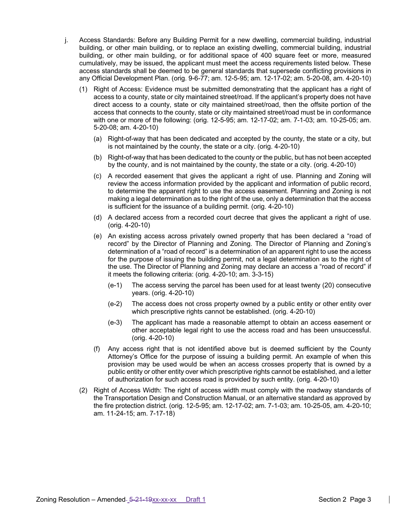- j. Access Standards: Before any Building Permit for a new dwelling, commercial building, industrial building, or other main building, or to replace an existing dwelling, commercial building, industrial building, or other main building, or for additional space of 400 square feet or more, measured cumulatively, may be issued, the applicant must meet the access requirements listed below. These access standards shall be deemed to be general standards that supersede conflicting provisions in any Official Development Plan. (orig. 9-6-77; am. 12-5-95; am. 12-17-02; am. 5-20-08, am. 4-20-10)
	- (1) Right of Access: Evidence must be submitted demonstrating that the applicant has a right of access to a county, state or city maintained street/road. If the applicant's property does not have direct access to a county, state or city maintained street/road, then the offsite portion of the access that connects to the county, state or city maintained street/road must be in conformance with one or more of the following: (orig. 12-5-95; am. 12-17-02; am. 7-1-03; am. 10-25-05; am. 5-20-08; am. 4-20-10)
		- (a) Right-of-way that has been dedicated and accepted by the county, the state or a city, but is not maintained by the county, the state or a city. (orig. 4-20-10)
		- (b) Right-of-way that has been dedicated to the county or the public, but has not been accepted by the county, and is not maintained by the county, the state or a city. (orig. 4-20-10)
		- (c) A recorded easement that gives the applicant a right of use. Planning and Zoning will review the access information provided by the applicant and information of public record, to determine the apparent right to use the access easement. Planning and Zoning is not making a legal determination as to the right of the use, only a determination that the access is sufficient for the issuance of a building permit. (orig. 4-20-10)
		- (d) A declared access from a recorded court decree that gives the applicant a right of use. (orig. 4-20-10)
		- (e) An existing access across privately owned property that has been declared a "road of record" by the Director of Planning and Zoning. The Director of Planning and Zoning's determination of a "road of record" is a determination of an apparent right to use the access for the purpose of issuing the building permit, not a legal determination as to the right of the use. The Director of Planning and Zoning may declare an access a "road of record" if it meets the following criteria: (orig. 4-20-10; am. 3-3-15)
			- (e-1) The access serving the parcel has been used for at least twenty (20) consecutive years. (orig. 4-20-10)
			- (e-2) The access does not cross property owned by a public entity or other entity over which prescriptive rights cannot be established. (orig. 4-20-10)
			- (e-3) The applicant has made a reasonable attempt to obtain an access easement or other acceptable legal right to use the access road and has been unsuccessful. (orig. 4-20-10)
		- (f) Any access right that is not identified above but is deemed sufficient by the County Attorney's Office for the purpose of issuing a building permit. An example of when this provision may be used would be when an access crosses property that is owned by a public entity or other entity over which prescriptive rights cannot be established, and a letter of authorization for such access road is provided by such entity. (orig. 4-20-10)
	- (2) Right of Access Width: The right of access width must comply with the roadway standards of the Transportation Design and Construction Manual, or an alternative standard as approved by the fire protection district. (orig. 12-5-95; am. 12-17-02; am. 7-1-03; am. 10-25-05, am. 4-20-10; am. 11-24-15; am. 7-17-18)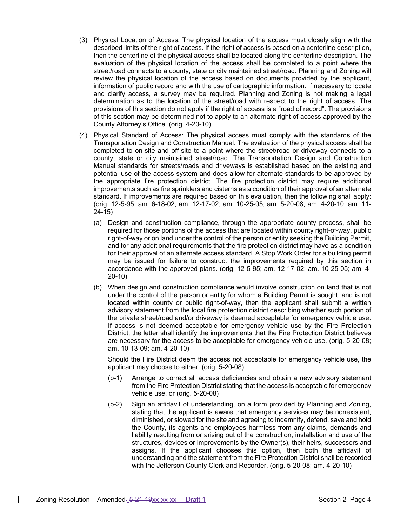- (3) Physical Location of Access: The physical location of the access must closely align with the described limits of the right of access. If the right of access is based on a centerline description, then the centerline of the physical access shall be located along the centerline description. The evaluation of the physical location of the access shall be completed to a point where the street/road connects to a county, state or city maintained street/road. Planning and Zoning will review the physical location of the access based on documents provided by the applicant, information of public record and with the use of cartographic information. If necessary to locate and clarify access, a survey may be required. Planning and Zoning is not making a legal determination as to the location of the street/road with respect to the right of access. The provisions of this section do not apply if the right of access is a "road of record". The provisions of this section may be determined not to apply to an alternate right of access approved by the County Attorney's Office. (orig. 4-20-10)
- (4) Physical Standard of Access: The physical access must comply with the standards of the Transportation Design and Construction Manual. The evaluation of the physical access shall be completed to on-site and off-site to a point where the street/road or driveway connects to a county, state or city maintained street/road. The Transportation Design and Construction Manual standards for streets/roads and driveways is established based on the existing and potential use of the access system and does allow for alternate standards to be approved by the appropriate fire protection district. The fire protection district may require additional improvements such as fire sprinklers and cisterns as a condition of their approval of an alternate standard. If improvements are required based on this evaluation, then the following shall apply: (orig. 12-5-95; am. 6-18-02; am. 12-17-02; am. 10-25-05; am. 5-20-08; am. 4-20-10; am. 11- 24-15)
	- (a) Design and construction compliance, through the appropriate county process, shall be required for those portions of the access that are located within county right-of-way, public right-of-way or on land under the control of the person or entity seeking the Building Permit, and for any additional requirements that the fire protection district may have as a condition for their approval of an alternate access standard. A Stop Work Order for a building permit may be issued for failure to construct the improvements required by this section in accordance with the approved plans. (orig. 12-5-95; am. 12-17-02; am. 10-25-05; am. 4- 20-10)
	- (b) When design and construction compliance would involve construction on land that is not under the control of the person or entity for whom a Building Permit is sought, and is not located within county or public right-of-way, then the applicant shall submit a written advisory statement from the local fire protection district describing whether such portion of the private street/road and/or driveway is deemed acceptable for emergency vehicle use. If access is not deemed acceptable for emergency vehicle use by the Fire Protection District, the letter shall identify the improvements that the Fire Protection District believes are necessary for the access to be acceptable for emergency vehicle use. (orig. 5-20-08; am. 10-13-09; am. 4-20-10)

Should the Fire District deem the access not acceptable for emergency vehicle use, the applicant may choose to either: (orig. 5-20-08)

- (b-1) Arrange to correct all access deficiencies and obtain a new advisory statement from the Fire Protection District stating that the access is acceptable for emergency vehicle use, or (orig. 5-20-08)
- (b-2) Sign an affidavit of understanding, on a form provided by Planning and Zoning, stating that the applicant is aware that emergency services may be nonexistent, diminished, or slowed for the site and agreeing to indemnify, defend, save and hold the County, its agents and employees harmless from any claims, demands and liability resulting from or arising out of the construction, installation and use of the structures, devices or improvements by the Owner(s), their heirs, successors and assigns. If the applicant chooses this option, then both the affidavit of understanding and the statement from the Fire Protection District shall be recorded with the Jefferson County Clerk and Recorder. (orig. 5-20-08; am. 4-20-10)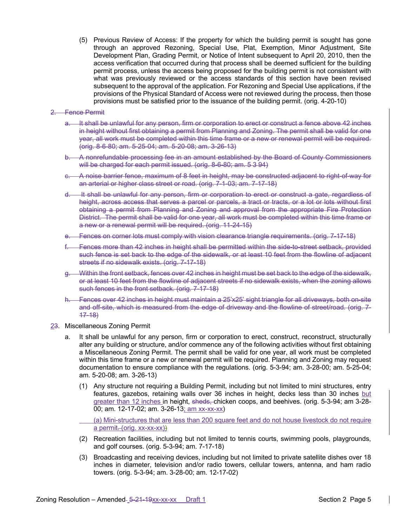(5) Previous Review of Access: If the property for which the building permit is sought has gone through an approved Rezoning, Special Use, Plat, Exemption, Minor Adjustment, Site Development Plan, Grading Permit, or Notice of Intent subsequent to April 20, 2010, then the access verification that occurred during that process shall be deemed sufficient for the building permit process, unless the access being proposed for the building permit is not consistent with what was previously reviewed or the access standards of this section have been revised subsequent to the approval of the application. For Rezoning and Special Use applications, if the provisions of the Physical Standard of Access were not reviewed during the process, then those provisions must be satisfied prior to the issuance of the building permit. (orig. 4-20-10)

#### 2. Fence Permit

- a. It shall be unlawful for any person, firm or corporation to erect or construct a fence above 42 inches in height without first obtaining a permit from Planning and Zoning. The permit shall be valid for one year, all work must be completed within this time frame or a new or renewal permit will be required. (orig. 8-6-80; am. 5-25-04; am. 5-20-08; am. 3-26-13)
- b. A nonrefundable processing fee in an amount established by the Board of County Commissioners will be charged for each permit issued. (orig. 8-6-80; am. 5 3 94)
- c. A noise barrier fence, maximum of 8 feet in height, may be constructed adjacent to right-of-way for an arterial or higher class street or road. (orig. 7-1-03; am. 7-17-18)
- d. It shall be unlawful for any person, firm or corporation to erect or construct a gate, regardless of height, across access that serves a parcel or parcels, a tract or tracts, or a lot or lots without first obtaining a permit from Planning and Zoning and approval from the appropriate Fire Protection District. The permit shall be valid for one year, all work must be completed within this time frame or a new or a renewal permit will be required. (orig. 11-24-15)
- e. Fences on corner lots must comply with vision clearance triangle requirements. (orig. 7-17-18)
- f. Fences more than 42 inches in height shall be permitted within the side-to-street setback, provided such fence is set back to the edge of the sidewalk, or at least 10 feet from the flowline of adjacent streets if no sidewalk exists. (orig. 7-17-18)
- Within the front setback, fences over 42 inches in height must be set back to the edge of the sidewalk, or at least 10 feet from the flowline of adjacent streets if no sidewalk exists, when the zoning allows such fences in the front setback. (orig. 7-17-18)
- h. Fences over 42 inches in height must maintain a 25'x25' sight triangle for all driveways, both on-site and off-site, which is measured from the edge of driveway and the flowline of street/road. (orig. 7- 17-18)

#### 23. Miscellaneous Zoning Permit

- a. It shall be unlawful for any person, firm or corporation to erect, construct, reconstruct, structurally alter any building or structure, and/or commence any of the following activities without first obtaining a Miscellaneous Zoning Permit. The permit shall be valid for one year, all work must be completed within this time frame or a new or renewal permit will be required. Planning and Zoning may request documentation to ensure compliance with the regulations. (orig. 5-3-94; am. 3-28-00; am. 5-25-04; am. 5-20-08; am. 3-26-13)
	- (1) Any structure not requiring a Building Permit, including but not limited to mini structures, entry features, gazebos, retaining walls over 36 inches in height, decks less than 30 inches but greater than 12 inches in height, sheds, chicken coops, and beehives. (orig. 5-3-94; am 3-28-00; am. 12-17-02; am. 3-26-13; am xx-xx-xx)

(a) Mini-structures that are less than 200 square feet and do not house livestock do not require a permit-(orig. xx-xx-xx))

- (2) Recreation facilities, including but not limited to tennis courts, swimming pools, playgrounds, and golf courses. (orig. 5-3-94; am. 7-17-18)
- (3) Broadcasting and receiving devices, including but not limited to private satellite dishes over 18 inches in diameter, television and/or radio towers, cellular towers, antenna, and ham radio towers. (orig. 5-3-94; am. 3-28-00; am. 12-17-02)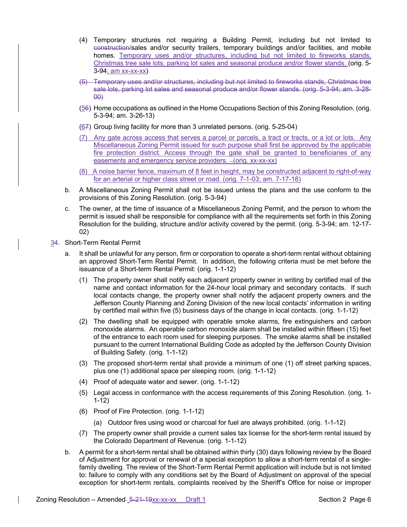- (4) Temporary structures not requiring a Building Permit, including but not limited to construction/sales and/or security trailers, temporary buildings and/or facilities, and mobile homes. Temporary uses and/or structures, including but not limited to fireworks stands, Christmas tree sale lots, parking lot sales and seasonal produce and/or flower stands. (orig. 5- 3-94; am xx-xx-xx)
- (5) Temporary uses and/or structures, including but not limited to fireworks stands, Christmas tree sale lots, parking lot sales and seasonal produce and/or flower stands. (orig. 5-3-94; am. 3-28-  $\theta$
- (56) Home occupations as outlined in the Home Occupations Section of this Zoning Resolution. (orig. 5-3-94; am. 3-26-13)
- (67) Group living facility for more than 3 unrelated persons. (orig. 5-25-04)
- (7) Any gate across access that serves a parcel or parcels, a tract or tracts, or a lot or lots. Any Miscellaneous Zoning Permit issued for such purpose shall first be approved by the applicable fire protection district. Access through the gate shall be granted to beneficiaries of any easements and emergency service providers. - (orig. xx-xx-xx)
- (8) A noise barrier fence, maximum of 8 feet in height, may be constructed adjacent to right-of-way for an arterial or higher class street or road. (orig. 7-1-03; am. 7-17-18)
- b. A Miscellaneous Zoning Permit shall not be issued unless the plans and the use conform to the provisions of this Zoning Resolution. (orig. 5-3-94)
- c. The owner, at the time of issuance of a Miscellaneous Zoning Permit, and the person to whom the permit is issued shall be responsible for compliance with all the requirements set forth in this Zoning Resolution for the building, structure and/or activity covered by the permit. (orig. 5-3-94; am. 12-17- 02)
- 34. Short-Term Rental Permit
	- a. It shall be unlawful for any person, firm or corporation to operate a short-term rental without obtaining an approved Short-Term Rental Permit. In addition, the following criteria must be met before the issuance of a Short-term Rental Permit: (orig. 1-1-12)
		- (1) The property owner shall notify each adjacent property owner in writing by certified mail of the name and contact information for the 24-hour local primary and secondary contacts. If such local contacts change, the property owner shall notify the adjacent property owners and the Jefferson County Planning and Zoning Division of the new local contacts' information in writing by certified mail within five (5) business days of the change in local contacts. (orig. 1-1-12)
		- (2) The dwelling shall be equipped with operable smoke alarms, fire extinguishers and carbon monoxide alarms. An operable carbon monoxide alarm shall be installed within fifteen (15) feet of the entrance to each room used for sleeping purposes. The smoke alarms shall be installed pursuant to the current International Building Code as adopted by the Jefferson County Division of Building Safety. (orig. 1-1-12)
		- (3) The proposed short-term rental shall provide a minimum of one (1) off street parking spaces, plus one (1) additional space per sleeping room. (orig. 1-1-12)
		- (4) Proof of adequate water and sewer. (orig. 1-1-12)
		- (5) Legal access in conformance with the access requirements of this Zoning Resolution. (orig. 1- 1-12)
		- (6) Proof of Fire Protection. (orig. 1-1-12)
			- (a) Outdoor fires using wood or charcoal for fuel are always prohibited. (orig. 1-1-12)
		- (7) The property owner shall provide a current sales tax license for the short-term rental issued by the Colorado Department of Revenue. (orig. 1-1-12)
	- b. A permit for a short-term rental shall be obtained within thirty (30) days following review by the Board of Adjustment for approval or renewal of a special exception to allow a short-term rental of a singlefamily dwelling. The review of the Short-Term Rental Permit application will include but is not limited to: failure to comply with any conditions set by the Board of Adjustment on approval of the special exception for short-term rentals, complaints received by the Sheriff's Office for noise or improper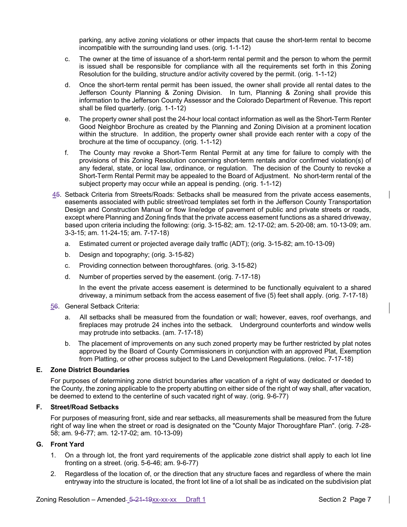parking, any active zoning violations or other impacts that cause the short-term rental to become incompatible with the surrounding land uses. (orig. 1-1-12)

- c. The owner at the time of issuance of a short-term rental permit and the person to whom the permit is issued shall be responsible for compliance with all the requirements set forth in this Zoning Resolution for the building, structure and/or activity covered by the permit. (orig. 1-1-12)
- d. Once the short-term rental permit has been issued, the owner shall provide all rental dates to the Jefferson County Planning & Zoning Division. In turn, Planning & Zoning shall provide this information to the Jefferson County Assessor and the Colorado Department of Revenue. This report shall be filed quarterly. (orig. 1-1-12)
- e. The property owner shall post the 24-hour local contact information as well as the Short-Term Renter Good Neighbor Brochure as created by the Planning and Zoning Division at a prominent location within the structure. In addition, the property owner shall provide each renter with a copy of the brochure at the time of occupancy. (orig. 1-1-12)
- f. The County may revoke a Short-Term Rental Permit at any time for failure to comply with the provisions of this Zoning Resolution concerning short-term rentals and/or confirmed violation(s) of any federal, state, or local law, ordinance, or regulation. The decision of the County to revoke a Short-Term Rental Permit may be appealed to the Board of Adjustment. No short-term rental of the subject property may occur while an appeal is pending. (orig. 1-1-12)
- 45. Setback Criteria from Streets/Roads: Setbacks shall be measured from the private access easements, easements associated with public street/road templates set forth in the Jefferson County Transportation Design and Construction Manual or flow line/edge of pavement of public and private streets or roads, except where Planning and Zoning finds that the private access easement functions as a shared driveway, based upon criteria including the following: (orig. 3-15-82; am. 12-17-02; am. 5-20-08; am. 10-13-09; am. 3-3-15; am. 11-24-15; am. 7-17-18)
	- a. Estimated current or projected average daily traffic (ADT); (orig. 3-15-82; am.10-13-09)
	- b. Design and topography; (orig. 3-15-82)
	- c. Providing connection between thoroughfares. (orig. 3-15-82)
	- d. Number of properties served by the easement. (orig. 7-17-18)

In the event the private access easement is determined to be functionally equivalent to a shared driveway, a minimum setback from the access easement of five (5) feet shall apply. (orig. 7-17-18)

## 56. General Setback Criteria:

- a. All setbacks shall be measured from the foundation or wall; however, eaves, roof overhangs, and fireplaces may protrude 24 inches into the setback. Underground counterforts and window wells may protrude into setbacks. (am. 7-17-18)
- b. The placement of improvements on any such zoned property may be further restricted by plat notes approved by the Board of County Commissioners in conjunction with an approved Plat, Exemption from Platting, or other process subject to the Land Development Regulations. (reloc. 7-17-18)

# **E. Zone District Boundaries**

For purposes of determining zone district boundaries after vacation of a right of way dedicated or deeded to the County, the zoning applicable to the property abutting on either side of the right of way shall, after vacation, be deemed to extend to the centerline of such vacated right of way. (orig. 9-6-77)

## **F. Street/Road Setbacks**

For purposes of measuring front, side and rear setbacks, all measurements shall be measured from the future right of way line when the street or road is designated on the "County Major Thoroughfare Plan". (orig. 7-28- 58; am. 9-6-77; am. 12-17-02; am. 10-13-09)

# **G. Front Yard**

- 1. On a through lot, the front yard requirements of the applicable zone district shall apply to each lot line fronting on a street. (orig. 5-6-46; am. 9-6-77)
- 2. Regardless of the location of, or the direction that any structure faces and regardless of where the main entryway into the structure is located, the front lot line of a lot shall be as indicated on the subdivision plat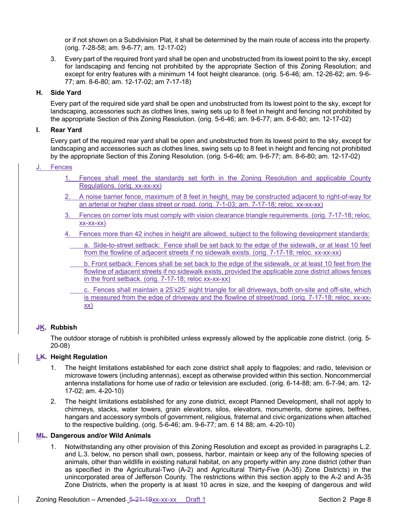or if not shown on a Subdivision Plat, it shall be determined by the main route of access into the property. (orig. 7-28-58; am. 9-6-77; am. 12-17-02)

3. Every part of the required front yard shall be open and unobstructed from its lowest point to the sky, except for landscaping and fencing not prohibited by the appropriate Section of this Zoning Resolution; and except for entry features with a minimum 14 foot height clearance. (orig. 5-6-46; am. 12-26-62; am. 9-6- 77; am. 8-6-80; am. 12-17-02; am 7-17-18)

## **H. Side Yard**

Every part of the required side yard shall be open and unobstructed from its lowest point to the sky, except for landscaping, accessories such as clothes lines, swing sets up to 8 feet in height and fencing not prohibited by the appropriate Section of this Zoning Resolution. (orig. 5-6-46; am. 9-6-77; am. 8-6-80; am. 12-17-02)

## **I. Rear Yard**

Every part of the required rear yard shall be open and unobstructed from its lowest point to the sky, except for landscaping and accessories such as clothes lines, swing sets up to 8 feet in height and fencing not prohibited by the appropriate Section of this Zoning Resolution. (orig. 5-6-46; am. 9-6-77; am. 8-6-80; am. 12-17-02)

# **Fences**

- 1. Fences shall meet the standards set forth in the Zoning Resolution and applicable County Regulations. (orig. xx-xx-xx)
- 2. A noise barrier fence, maximum of 8 feet in height, may be constructed adjacent to right-of-way for an arterial or higher class street or road. (orig. 7-1-03; am. 7-17-18; reloc. xx-xx-xx)
- 3. Fences on corner lots must comply with vision clearance triangle requirements. (orig. 7-17-18; reloc. xx-xx-xx)
- 4. Fences more than 42 inches in height are allowed, subject to the following development standards:
	- a. Side-to-street setback: Fence shall be set back to the edge of the sidewalk, or at least 10 feet from the flowline of adjacent streets if no sidewalk exists. (orig. 7-17-18; reloc. xx-xx-xx)
	- b. Front setback: Fences shall be set back to the edge of the sidewalk, or at least 10 feet from the flowline of adjacent streets if no sidewalk exists, provided the applicable zone district allows fences in the front setback. (orig. 7-17-18; reloc xx-xx-xx)
	- c. Fences shall maintain a 25'x25' sight triangle for all driveways, both on-site and off-site, which is measured from the edge of driveway and the flowline of street/road. (orig. 7-17-18; reloc. xx-xxxx)

# **JK. Rubbish**

The outdoor storage of rubbish is prohibited unless expressly allowed by the applicable zone district. (orig. 5- 20-08)

# **LK. Height Regulation**

- 1. The height limitations established for each zone district shall apply to flagpoles; and radio, television or microwave towers (including antennas), except as otherwise provided within this section. Noncommercial antenna installations for home use of radio or television are excluded. (orig. 6-14-88; am. 6-7-94; am. 12- 17-02; am. 4-20-10)
- 2. The height limitations established for any zone district, except Planned Development, shall not apply to chimneys, stacks, water towers, grain elevators, silos, elevators, monuments, dome spires, belfries, hangars and accessory symbols of government, religious, fraternal and civic organizations when attached to the respective building. (orig. 5-6-46; am. 9-6-77; am. 6 14 88; am. 4-20-10)

## **ML. Dangerous and/or Wild Animals**

1. Notwithstanding any other provision of this Zoning Resolution and except as provided in paragraphs L.2. and L.3. below, no person shall own, possess, harbor, maintain or keep any of the following species of animals, other than wildlife in existing natural habitat, on any property within any zone district (other than as specified in the Agricultural-Two (A-2) and Agricultural Thirty-Five (A-35) Zone Districts) in the unincorporated area of Jefferson County. The restrictions within this section apply to the A-2 and A-35 Zone Districts, when the property is at least 10 acres in size, and the keeping of dangerous and wild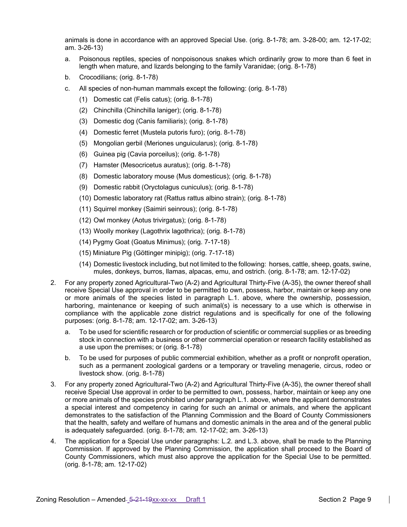animals is done in accordance with an approved Special Use. (orig. 8-1-78; am. 3-28-00; am. 12-17-02; am. 3-26-13)

- a. Poisonous reptiles, species of nonpoisonous snakes which ordinarily grow to more than 6 feet in length when mature, and lizards belonging to the family Varanidae; (orig. 8-1-78)
- b. Crocodilians; (orig. 8-1-78)
- c. All species of non-human mammals except the following: (orig. 8-1-78)
	- (1) Domestic cat (Felis catus); (orig. 8-1-78)
	- (2) Chinchilla (Chinchilla laniger); (orig. 8-1-78)
	- (3) Domestic dog (Canis familiaris); (orig. 8-1-78)
	- (4) Domestic ferret (Mustela putoris furo); (orig. 8-1-78)
	- (5) Mongolian gerbil (Meriones unguicularus); (orig. 8-1-78)
	- (6) Guinea pig (Cavia porceilus); (orig. 8-1-78)
	- (7) Hamster (Mesocricetus auratus); (orig. 8-1-78)
	- (8) Domestic laboratory mouse (Mus domesticus); (orig. 8-1-78)
	- (9) Domestic rabbit (Oryctolagus cuniculus); (orig. 8-1-78)
	- (10) Domestic laboratory rat (Rattus rattus albino strain); (orig. 8-1-78)
	- (11) Squirrel monkey (Saimiri seinrous); (orig. 8-1-78)
	- (12) Owl monkey (Aotus trivirgatus); (orig. 8-1-78)
	- (13) Woolly monkey (Lagothrix lagothrica); (orig. 8-1-78)
	- (14) Pygmy Goat (Goatus Minimus); (orig. 7-17-18)
	- (15) Miniature Pig (Göttinger minipig); (orig. 7-17-18)
	- (14) Domestic livestock including, but not limited to the following: horses, cattle, sheep, goats, swine, mules, donkeys, burros, llamas, alpacas, emu, and ostrich. (orig. 8-1-78; am. 12-17-02)
- 2. For any property zoned Agricultural-Two (A-2) and Agricultural Thirty-Five (A-35), the owner thereof shall receive Special Use approval in order to be permitted to own, possess, harbor, maintain or keep any one or more animals of the species listed in paragraph L.1. above, where the ownership, possession, harboring, maintenance or keeping of such animal(s) is necessary to a use which is otherwise in compliance with the applicable zone district regulations and is specifically for one of the following purposes: (orig. 8-1-78; am. 12-17-02; am. 3-26-13)
	- a. To be used for scientific research or for production of scientific or commercial supplies or as breeding stock in connection with a business or other commercial operation or research facility established as a use upon the premises; or (orig. 8-1-78)
	- b. To be used for purposes of public commercial exhibition, whether as a profit or nonprofit operation, such as a permanent zoological gardens or a temporary or traveling menagerie, circus, rodeo or livestock show. (orig. 8-1-78)
- 3. For any property zoned Agricultural-Two (A-2) and Agricultural Thirty-Five (A-35), the owner thereof shall receive Special Use approval in order to be permitted to own, possess, harbor, maintain or keep any one or more animals of the species prohibited under paragraph L.1. above, where the applicant demonstrates a special interest and competency in caring for such an animal or animals, and where the applicant demonstrates to the satisfaction of the Planning Commission and the Board of County Commissioners that the health, safety and welfare of humans and domestic animals in the area and of the general public is adequately safeguarded. (orig. 8-1-78; am. 12-17-02; am. 3-26-13)
- 4. The application for a Special Use under paragraphs: L.2. and L.3. above, shall be made to the Planning Commission. If approved by the Planning Commission, the application shall proceed to the Board of County Commissioners, which must also approve the application for the Special Use to be permitted. (orig. 8-1-78; am. 12-17-02)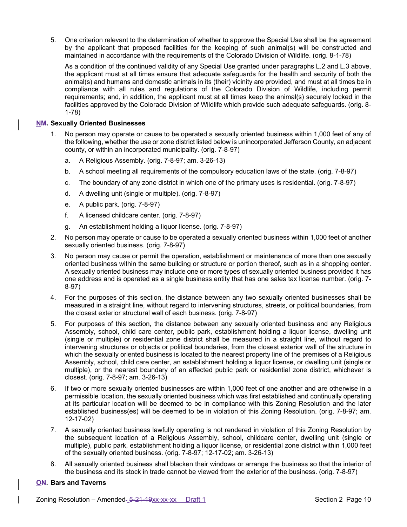5. One criterion relevant to the determination of whether to approve the Special Use shall be the agreement by the applicant that proposed facilities for the keeping of such animal(s) will be constructed and maintained in accordance with the requirements of the Colorado Division of Wildlife. (orig. 8-1-78)

As a condition of the continued validity of any Special Use granted under paragraphs L.2 and L.3 above, the applicant must at all times ensure that adequate safeguards for the health and security of both the animal(s) and humans and domestic animals in its (their) vicinity are provided, and must at all times be in compliance with all rules and regulations of the Colorado Division of Wildlife, including permit requirements; and, in addition, the applicant must at all times keep the animal(s) securely locked in the facilities approved by the Colorado Division of Wildlife which provide such adequate safeguards. (orig. 8- 1-78)

# **NM. Sexually Oriented Businesses**

- 1. No person may operate or cause to be operated a sexually oriented business within 1,000 feet of any of the following, whether the use or zone district listed below is unincorporated Jefferson County, an adjacent county, or within an incorporated municipality. (orig. 7-8-97)
	- a. A Religious Assembly. (orig. 7-8-97; am. 3-26-13)
	- b. A school meeting all requirements of the compulsory education laws of the state. (orig. 7-8-97)
	- c. The boundary of any zone district in which one of the primary uses is residential. (orig. 7-8-97)
	- d. A dwelling unit (single or multiple). (orig. 7-8-97)
	- e. A public park. (orig. 7-8-97)
	- f. A licensed childcare center. (orig. 7-8-97)
	- g. An establishment holding a liquor license. (orig. 7-8-97)
- 2. No person may operate or cause to be operated a sexually oriented business within 1,000 feet of another sexually oriented business. (orig. 7-8-97)
- 3. No person may cause or permit the operation, establishment or maintenance of more than one sexually oriented business within the same building or structure or portion thereof, such as in a shopping center. A sexually oriented business may include one or more types of sexually oriented business provided it has one address and is operated as a single business entity that has one sales tax license number. (orig. 7- 8-97)
- 4. For the purposes of this section, the distance between any two sexually oriented businesses shall be measured in a straight line, without regard to intervening structures, streets, or political boundaries, from the closest exterior structural wall of each business. (orig. 7-8-97)
- 5. For purposes of this section, the distance between any sexually oriented business and any Religious Assembly, school, child care center, public park, establishment holding a liquor license, dwelling unit (single or multiple) or residential zone district shall be measured in a straight line, without regard to intervening structures or objects or political boundaries, from the closest exterior wall of the structure in which the sexually oriented business is located to the nearest property line of the premises of a Religious Assembly, school, child care center, an establishment holding a liquor license, or dwelling unit (single or multiple), or the nearest boundary of an affected public park or residential zone district, whichever is closest. (orig. 7-8-97; am. 3-26-13)
- 6. If two or more sexually oriented businesses are within 1,000 feet of one another and are otherwise in a permissible location, the sexually oriented business which was first established and continually operating at its particular location will be deemed to be in compliance with this Zoning Resolution and the later established business(es) will be deemed to be in violation of this Zoning Resolution. (orig. 7-8-97; am. 12-17-02)
- 7. A sexually oriented business lawfully operating is not rendered in violation of this Zoning Resolution by the subsequent location of a Religious Assembly, school, childcare center, dwelling unit (single or multiple), public park, establishment holding a liquor license, or residential zone district within 1,000 feet of the sexually oriented business. (orig. 7-8-97; 12-17-02; am. 3-26-13)
- 8. All sexually oriented business shall blacken their windows or arrange the business so that the interior of the business and its stock in trade cannot be viewed from the exterior of the business. (orig. 7-8-97)

# **ON. Bars and Taverns**